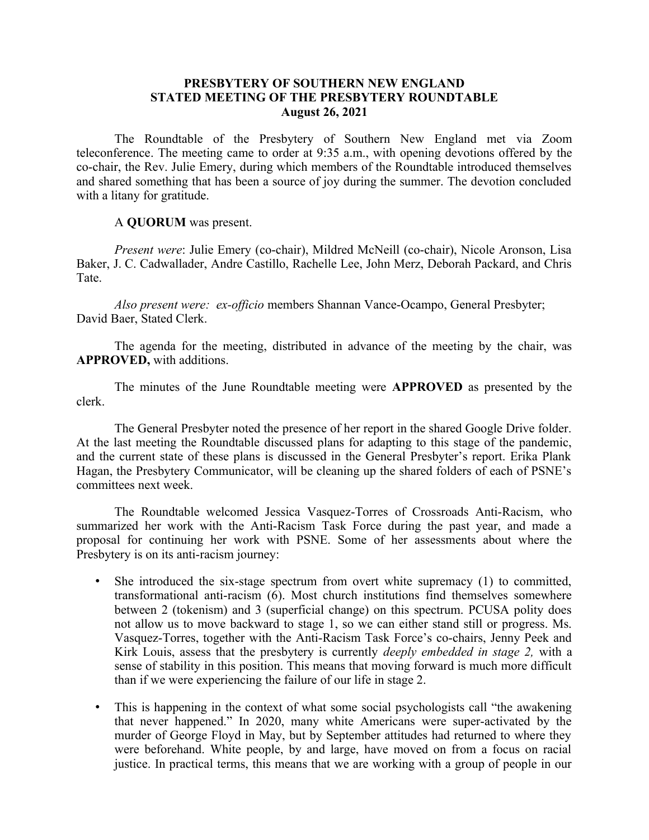### **PRESBYTERY OF SOUTHERN NEW ENGLAND STATED MEETING OF THE PRESBYTERY ROUNDTABLE August 26, 2021**

The Roundtable of the Presbytery of Southern New England met via Zoom teleconference. The meeting came to order at 9:35 a.m., with opening devotions offered by the co-chair, the Rev. Julie Emery, during which members of the Roundtable introduced themselves and shared something that has been a source of joy during the summer. The devotion concluded with a litany for gratitude.

A **QUORUM** was present.

*Present were*: Julie Emery (co-chair), Mildred McNeill (co-chair), Nicole Aronson, Lisa Baker, J. C. Cadwallader, Andre Castillo, Rachelle Lee, John Merz, Deborah Packard, and Chris Tate.

*Also present were: ex-officio* members Shannan Vance-Ocampo, General Presbyter; David Baer, Stated Clerk.

The agenda for the meeting, distributed in advance of the meeting by the chair, was **APPROVED,** with additions.

The minutes of the June Roundtable meeting were **APPROVED** as presented by the clerk.

The General Presbyter noted the presence of her report in the shared Google Drive folder. At the last meeting the Roundtable discussed plans for adapting to this stage of the pandemic, and the current state of these plans is discussed in the General Presbyter's report. Erika Plank Hagan, the Presbytery Communicator, will be cleaning up the shared folders of each of PSNE's committees next week.

The Roundtable welcomed Jessica Vasquez-Torres of Crossroads Anti-Racism, who summarized her work with the Anti-Racism Task Force during the past year, and made a proposal for continuing her work with PSNE. Some of her assessments about where the Presbytery is on its anti-racism journey:

- She introduced the six-stage spectrum from overt white supremacy (1) to committed, transformational anti-racism (6). Most church institutions find themselves somewhere between 2 (tokenism) and 3 (superficial change) on this spectrum. PCUSA polity does not allow us to move backward to stage 1, so we can either stand still or progress. Ms. Vasquez-Torres, together with the Anti-Racism Task Force's co-chairs, Jenny Peek and Kirk Louis, assess that the presbytery is currently *deeply embedded in stage 2,* with a sense of stability in this position. This means that moving forward is much more difficult than if we were experiencing the failure of our life in stage 2.
- This is happening in the context of what some social psychologists call "the awakening that never happened." In 2020, many white Americans were super-activated by the murder of George Floyd in May, but by September attitudes had returned to where they were beforehand. White people, by and large, have moved on from a focus on racial justice. In practical terms, this means that we are working with a group of people in our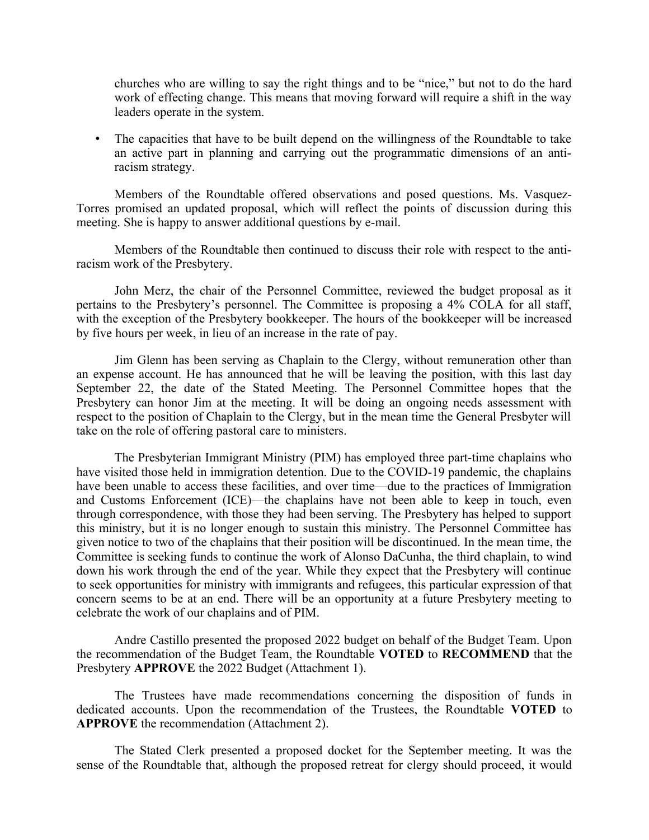churches who are willing to say the right things and to be "nice," but not to do the hard work of effecting change. This means that moving forward will require a shift in the way leaders operate in the system.

• The capacities that have to be built depend on the willingness of the Roundtable to take an active part in planning and carrying out the programmatic dimensions of an antiracism strategy.

Members of the Roundtable offered observations and posed questions. Ms. Vasquez-Torres promised an updated proposal, which will reflect the points of discussion during this meeting. She is happy to answer additional questions by e-mail.

Members of the Roundtable then continued to discuss their role with respect to the antiracism work of the Presbytery.

John Merz, the chair of the Personnel Committee, reviewed the budget proposal as it pertains to the Presbytery's personnel. The Committee is proposing a 4% COLA for all staff, with the exception of the Presbytery bookkeeper. The hours of the bookkeeper will be increased by five hours per week, in lieu of an increase in the rate of pay.

Jim Glenn has been serving as Chaplain to the Clergy, without remuneration other than an expense account. He has announced that he will be leaving the position, with this last day September 22, the date of the Stated Meeting. The Personnel Committee hopes that the Presbytery can honor Jim at the meeting. It will be doing an ongoing needs assessment with respect to the position of Chaplain to the Clergy, but in the mean time the General Presbyter will take on the role of offering pastoral care to ministers.

The Presbyterian Immigrant Ministry (PIM) has employed three part-time chaplains who have visited those held in immigration detention. Due to the COVID-19 pandemic, the chaplains have been unable to access these facilities, and over time—due to the practices of Immigration and Customs Enforcement (ICE)—the chaplains have not been able to keep in touch, even through correspondence, with those they had been serving. The Presbytery has helped to support this ministry, but it is no longer enough to sustain this ministry. The Personnel Committee has given notice to two of the chaplains that their position will be discontinued. In the mean time, the Committee is seeking funds to continue the work of Alonso DaCunha, the third chaplain, to wind down his work through the end of the year. While they expect that the Presbytery will continue to seek opportunities for ministry with immigrants and refugees, this particular expression of that concern seems to be at an end. There will be an opportunity at a future Presbytery meeting to celebrate the work of our chaplains and of PIM.

Andre Castillo presented the proposed 2022 budget on behalf of the Budget Team. Upon the recommendation of the Budget Team, the Roundtable **VOTED** to **RECOMMEND** that the Presbytery **APPROVE** the 2022 Budget (Attachment 1).

The Trustees have made recommendations concerning the disposition of funds in dedicated accounts. Upon the recommendation of the Trustees, the Roundtable **VOTED** to **APPROVE** the recommendation (Attachment 2).

The Stated Clerk presented a proposed docket for the September meeting. It was the sense of the Roundtable that, although the proposed retreat for clergy should proceed, it would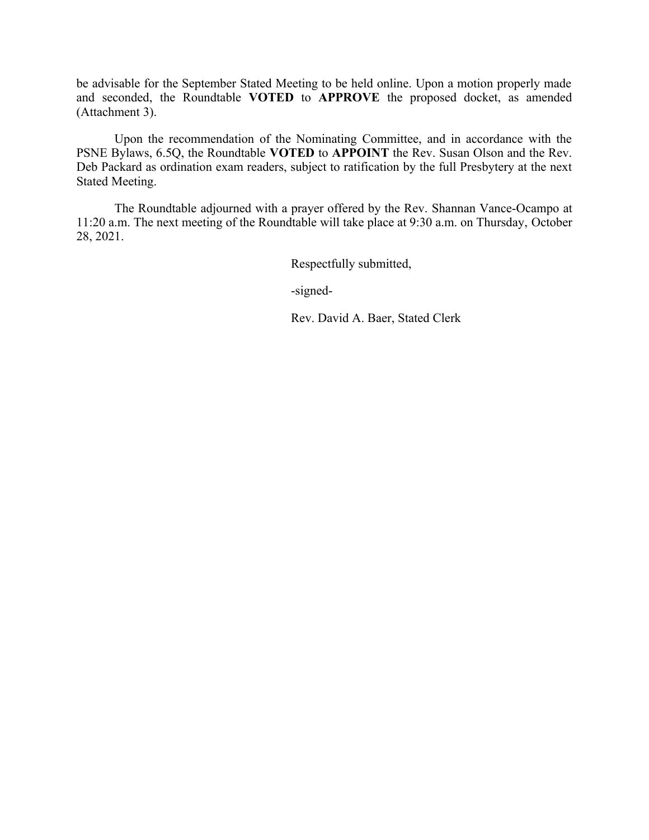be advisable for the September Stated Meeting to be held online. Upon a motion properly made and seconded, the Roundtable **VOTED** to **APPROVE** the proposed docket, as amended (Attachment 3).

Upon the recommendation of the Nominating Committee, and in accordance with the PSNE Bylaws, 6.5Q, the Roundtable **VOTED** to **APPOINT** the Rev. Susan Olson and the Rev. Deb Packard as ordination exam readers, subject to ratification by the full Presbytery at the next Stated Meeting.

The Roundtable adjourned with a prayer offered by the Rev. Shannan Vance-Ocampo at 11:20 a.m. The next meeting of the Roundtable will take place at 9:30 a.m. on Thursday, October 28, 2021.

Respectfully submitted,

-signed-

Rev. David A. Baer, Stated Clerk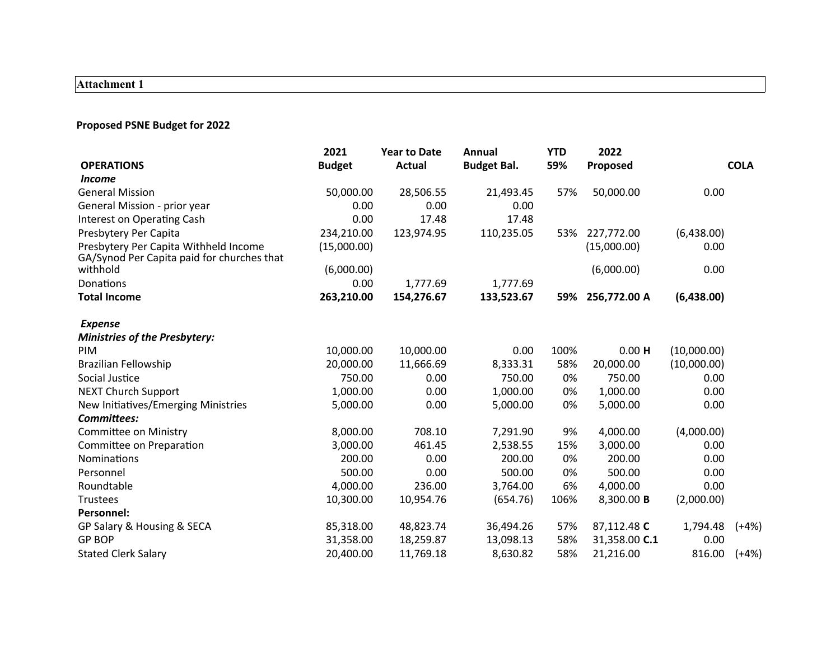# **Attachment 1**

## **Proposed PSNE Budget for 2022**

|                                                                                     | 2021          | <b>Year to Date</b> | Annual             | <b>YTD</b> | 2022          |             |             |
|-------------------------------------------------------------------------------------|---------------|---------------------|--------------------|------------|---------------|-------------|-------------|
| <b>OPERATIONS</b>                                                                   | <b>Budget</b> | <b>Actual</b>       | <b>Budget Bal.</b> | 59%        | Proposed      |             | <b>COLA</b> |
| <i>Income</i>                                                                       |               |                     |                    |            |               |             |             |
| <b>General Mission</b>                                                              | 50,000.00     | 28,506.55           | 21,493.45          | 57%        | 50,000.00     | 0.00        |             |
| General Mission - prior year                                                        | 0.00          | 0.00                | 0.00               |            |               |             |             |
| Interest on Operating Cash                                                          | 0.00          | 17.48               | 17.48              |            |               |             |             |
| Presbytery Per Capita                                                               | 234,210.00    | 123,974.95          | 110,235.05         | 53%        | 227,772.00    | (6,438.00)  |             |
| Presbytery Per Capita Withheld Income<br>GA/Synod Per Capita paid for churches that | (15,000.00)   |                     |                    |            | (15,000.00)   | 0.00        |             |
| withhold                                                                            | (6,000.00)    |                     |                    |            | (6,000.00)    | 0.00        |             |
| Donations                                                                           | 0.00          | 1,777.69            | 1,777.69           |            |               |             |             |
| <b>Total Income</b>                                                                 | 263,210.00    | 154,276.67          | 133,523.67         | 59%        | 256,772.00 A  | (6,438.00)  |             |
| <b>Expense</b>                                                                      |               |                     |                    |            |               |             |             |
| <b>Ministries of the Presbytery:</b>                                                |               |                     |                    |            |               |             |             |
| <b>PIM</b>                                                                          | 10,000.00     | 10,000.00           | 0.00               | 100%       | $0.00$ H      | (10,000.00) |             |
| <b>Brazilian Fellowship</b>                                                         | 20,000.00     | 11,666.69           | 8,333.31           | 58%        | 20,000.00     | (10,000.00) |             |
| Social Justice                                                                      | 750.00        | 0.00                | 750.00             | 0%         | 750.00        | 0.00        |             |
| <b>NEXT Church Support</b>                                                          | 1,000.00      | 0.00                | 1,000.00           | 0%         | 1,000.00      | 0.00        |             |
| New Initiatives/Emerging Ministries                                                 | 5,000.00      | 0.00                | 5,000.00           | 0%         | 5,000.00      | 0.00        |             |
| Committees:                                                                         |               |                     |                    |            |               |             |             |
| <b>Committee on Ministry</b>                                                        | 8,000.00      | 708.10              | 7,291.90           | 9%         | 4,000.00      | (4,000.00)  |             |
| Committee on Preparation                                                            | 3,000.00      | 461.45              | 2,538.55           | 15%        | 3,000.00      | 0.00        |             |
| Nominations                                                                         | 200.00        | 0.00                | 200.00             | 0%         | 200.00        | 0.00        |             |
| Personnel                                                                           | 500.00        | 0.00                | 500.00             | 0%         | 500.00        | 0.00        |             |
| Roundtable                                                                          | 4,000.00      | 236.00              | 3,764.00           | 6%         | 4,000.00      | 0.00        |             |
| <b>Trustees</b>                                                                     | 10,300.00     | 10,954.76           | (654.76)           | 106%       | 8,300.00 B    | (2,000.00)  |             |
| <b>Personnel:</b>                                                                   |               |                     |                    |            |               |             |             |
| GP Salary & Housing & SECA                                                          | 85,318.00     | 48,823.74           | 36,494.26          | 57%        | 87,112.48 C   | 1,794.48    | $(+4%)$     |
| <b>GP BOP</b>                                                                       | 31,358.00     | 18,259.87           | 13,098.13          | 58%        | 31,358.00 C.1 | 0.00        |             |
| <b>Stated Clerk Salary</b>                                                          | 20,400.00     | 11,769.18           | 8,630.82           | 58%        | 21,216.00     | 816.00      | $(+4%)$     |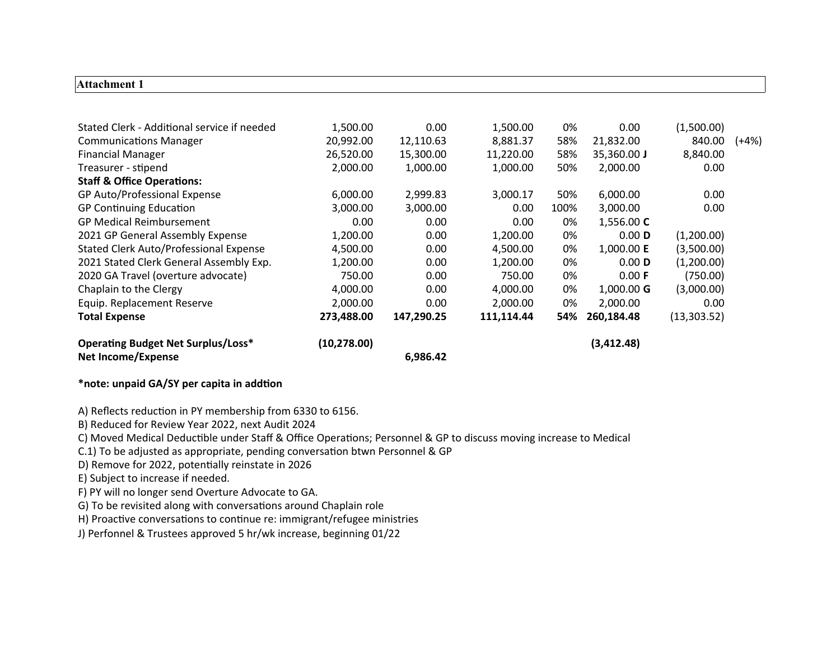#### **Attachment 1**

| (10, 278.00) |            |            |      | (3,412.48)  |              |         |
|--------------|------------|------------|------|-------------|--------------|---------|
| 273,488.00   | 147,290.25 | 111,114.44 | 54%  | 260,184.48  | (13, 303.52) |         |
| 2,000.00     | 0.00       | 2,000.00   | 0%   | 2,000.00    | 0.00         |         |
| 4,000.00     | 0.00       | 4,000.00   | 0%   | 1,000.00 G  | (3,000.00)   |         |
| 750.00       | 0.00       | 750.00     | 0%   | 0.00 F      | (750.00)     |         |
| 1,200.00     | 0.00       | 1,200.00   | 0%   | $0.00$ D    | (1,200.00)   |         |
| 4,500.00     | 0.00       | 4,500.00   | 0%   | 1,000.00 E  | (3,500.00)   |         |
| 1,200.00     | 0.00       | 1,200.00   | 0%   | 0.00 D      | (1,200.00)   |         |
| 0.00         | 0.00       | 0.00       | 0%   | 1,556.00 C  |              |         |
| 3,000.00     | 3,000.00   | 0.00       | 100% | 3,000.00    | 0.00         |         |
| 6,000.00     | 2,999.83   | 3,000.17   | 50%  | 6,000.00    | 0.00         |         |
|              |            |            |      |             |              |         |
| 2,000.00     | 1,000.00   | 1,000.00   | 50%  | 2,000.00    | 0.00         |         |
| 26,520.00    | 15,300.00  | 11,220.00  | 58%  | 35,360.00 J | 8,840.00     |         |
| 20,992.00    | 12,110.63  | 8,881.37   | 58%  | 21,832.00   | 840.00       | $(+4%)$ |
| 1,500.00     | 0.00       | 1,500.00   | 0%   | 0.00        | (1,500.00)   |         |
|              |            | 6,986.42   |      |             |              |         |

#### **\*note: unpaid GA/SY per capita in addtion**

A) Reflects reduction in PY membership from 6330 to 6156.

B) Reduced for Review Year 2022, next Audit 2024

C) Moved Medical Deductible under Staff & Office Operations; Personnel & GP to discuss moving increase to Medical

C.1) To be adjusted as appropriate, pending conversation btwn Personnel & GP

D) Remove for 2022, potentially reinstate in 2026

E) Subject to increase if needed.

F) PY will no longer send Overture Advocate to GA.

G) To be revisited along with conversations around Chaplain role

H) Proactive conversations to continue re: immigrant/refugee ministries

J) Perfonnel & Trustees approved 5 hr/wk increase, beginning 01/22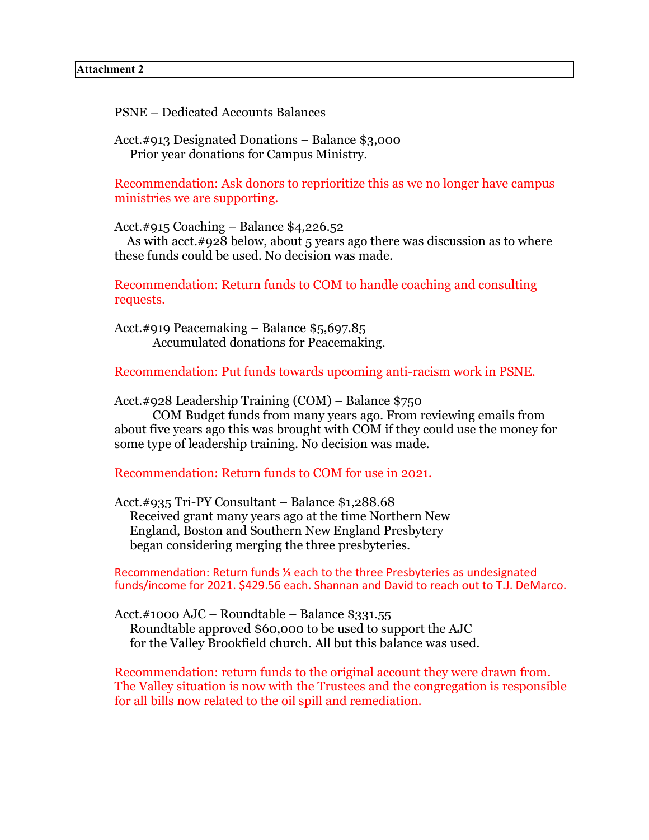PSNE – Dedicated Accounts Balances

Acct.#913 Designated Donations – Balance \$3,000 Prior year donations for Campus Ministry.

Recommendation: Ask donors to reprioritize this as we no longer have campus ministries we are supporting.

Acct.#915 Coaching – Balance \$4,226.52

As with acct.#928 below, about 5 years ago there was discussion as to where these funds could be used. No decision was made.

Recommendation: Return funds to COM to handle coaching and consulting requests.

Acct.#919 Peacemaking – Balance \$5,697.85 Accumulated donations for Peacemaking.

Recommendation: Put funds towards upcoming anti-racism work in PSNE.

Acct.#928 Leadership Training (COM) – Balance \$750

COM Budget funds from many years ago. From reviewing emails from about five years ago this was brought with COM if they could use the money for some type of leadership training. No decision was made.

Recommendation: Return funds to COM for use in 2021.

Acct.#935 Tri-PY Consultant – Balance \$1,288.68 Received grant many years ago at the time Northern New England, Boston and Southern New England Presbytery began considering merging the three presbyteries.

Recommendation: Return funds ⅓ each to the three Presbyteries as undesignated funds/income for 2021. \$429.56 each. Shannan and David to reach out to T.J. DeMarco.

Acct.#1000 AJC – Roundtable – Balance \$331.55 Roundtable approved \$60,000 to be used to support the AJC for the Valley Brookfield church. All but this balance was used.

Recommendation: return funds to the original account they were drawn from. The Valley situation is now with the Trustees and the congregation is responsible for all bills now related to the oil spill and remediation.